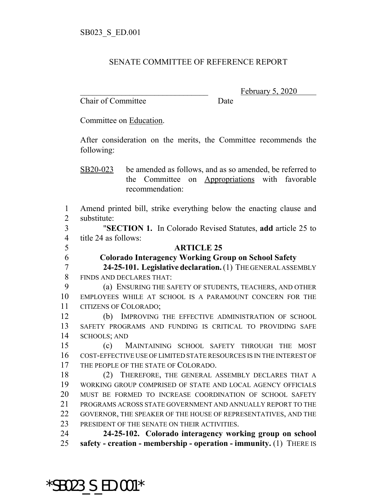## SENATE COMMITTEE OF REFERENCE REPORT

Chair of Committee Date

February 5, 2020

Committee on Education.

After consideration on the merits, the Committee recommends the following:

SB20-023 be amended as follows, and as so amended, be referred to the Committee on Appropriations with favorable recommendation:

 Amend printed bill, strike everything below the enacting clause and substitute:

 "**SECTION 1.** In Colorado Revised Statutes, **add** article 25 to title 24 as follows:

## **ARTICLE 25**

**Colorado Interagency Working Group on School Safety**

 **24-25-101. Legislative declaration.** (1) THE GENERAL ASSEMBLY FINDS AND DECLARES THAT:

 (a) ENSURING THE SAFETY OF STUDENTS, TEACHERS, AND OTHER EMPLOYEES WHILE AT SCHOOL IS A PARAMOUNT CONCERN FOR THE CITIZENS OF COLORADO;

 (b) IMPROVING THE EFFECTIVE ADMINISTRATION OF SCHOOL SAFETY PROGRAMS AND FUNDING IS CRITICAL TO PROVIDING SAFE SCHOOLS; AND

 (c) MAINTAINING SCHOOL SAFETY THROUGH THE MOST COST-EFFECTIVE USE OF LIMITED STATE RESOURCES IS IN THE INTEREST OF THE PEOPLE OF THE STATE OF COLORADO.

 (2) THEREFORE, THE GENERAL ASSEMBLY DECLARES THAT A WORKING GROUP COMPRISED OF STATE AND LOCAL AGENCY OFFICIALS MUST BE FORMED TO INCREASE COORDINATION OF SCHOOL SAFETY PROGRAMS ACROSS STATE GOVERNMENT AND ANNUALLY REPORT TO THE GOVERNOR, THE SPEAKER OF THE HOUSE OF REPRESENTATIVES, AND THE 23 PRESIDENT OF THE SENATE ON THEIR ACTIVITIES.

 **24-25-102. Colorado interagency working group on school safety - creation - membership - operation - immunity.** (1) THERE IS

\*SB023\_S\_ED.001\*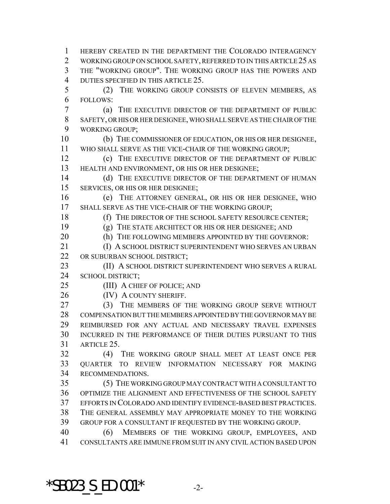HEREBY CREATED IN THE DEPARTMENT THE COLORADO INTERAGENCY WORKING GROUP ON SCHOOL SAFETY, REFERRED TO IN THIS ARTICLE 25 AS THE "WORKING GROUP". THE WORKING GROUP HAS THE POWERS AND DUTIES SPECIFIED IN THIS ARTICLE 25. (2) THE WORKING GROUP CONSISTS OF ELEVEN MEMBERS, AS FOLLOWS: (a) THE EXECUTIVE DIRECTOR OF THE DEPARTMENT OF PUBLIC SAFETY, OR HIS OR HER DESIGNEE, WHO SHALL SERVE AS THE CHAIR OF THE WORKING GROUP; (b) THE COMMISSIONER OF EDUCATION, OR HIS OR HER DESIGNEE, WHO SHALL SERVE AS THE VICE-CHAIR OF THE WORKING GROUP; (c) THE EXECUTIVE DIRECTOR OF THE DEPARTMENT OF PUBLIC HEALTH AND ENVIRONMENT, OR HIS OR HER DESIGNEE; 14 (d) THE EXECUTIVE DIRECTOR OF THE DEPARTMENT OF HUMAN SERVICES, OR HIS OR HER DESIGNEE; (e) THE ATTORNEY GENERAL, OR HIS OR HER DESIGNEE, WHO SHALL SERVE AS THE VICE-CHAIR OF THE WORKING GROUP; 18 (f) THE DIRECTOR OF THE SCHOOL SAFETY RESOURCE CENTER; (g) THE STATE ARCHITECT OR HIS OR HER DESIGNEE; AND 20 (h) THE FOLLOWING MEMBERS APPOINTED BY THE GOVERNOR: (I) A SCHOOL DISTRICT SUPERINTENDENT WHO SERVES AN URBAN OR SUBURBAN SCHOOL DISTRICT; **(II) A SCHOOL DISTRICT SUPERINTENDENT WHO SERVES A RURAL**  SCHOOL DISTRICT; (III) A CHIEF OF POLICE; AND 26 (IV) A COUNTY SHERIFF. 27 (3) THE MEMBERS OF THE WORKING GROUP SERVE WITHOUT COMPENSATION BUT THE MEMBERS APPOINTED BY THE GOVERNOR MAY BE REIMBURSED FOR ANY ACTUAL AND NECESSARY TRAVEL EXPENSES INCURRED IN THE PERFORMANCE OF THEIR DUTIES PURSUANT TO THIS ARTICLE 25. (4) THE WORKING GROUP SHALL MEET AT LEAST ONCE PER QUARTER TO REVIEW INFORMATION NECESSARY FOR MAKING RECOMMENDATIONS. (5) THE WORKING GROUP MAY CONTRACT WITH A CONSULTANT TO OPTIMIZE THE ALIGNMENT AND EFFECTIVENESS OF THE SCHOOL SAFETY EFFORTS IN COLORADO AND IDENTIFY EVIDENCE-BASED BEST PRACTICES. THE GENERAL ASSEMBLY MAY APPROPRIATE MONEY TO THE WORKING GROUP FOR A CONSULTANT IF REQUESTED BY THE WORKING GROUP. (6) MEMBERS OF THE WORKING GROUP, EMPLOYEES, AND CONSULTANTS ARE IMMUNE FROM SUIT IN ANY CIVIL ACTION BASED UPON

\*SB023 S ED.001\*  $-2$ -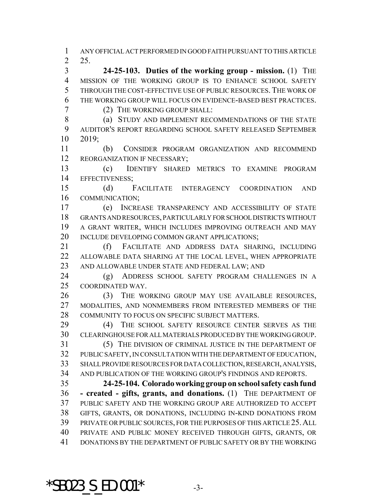ANY OFFICIAL ACT PERFORMED IN GOOD FAITH PURSUANT TO THIS ARTICLE 25.

 **24-25-103. Duties of the working group - mission.** (1) THE MISSION OF THE WORKING GROUP IS TO ENHANCE SCHOOL SAFETY THROUGH THE COST-EFFECTIVE USE OF PUBLIC RESOURCES.THE WORK OF THE WORKING GROUP WILL FOCUS ON EVIDENCE-BASED BEST PRACTICES.

(2) THE WORKING GROUP SHALL:

8 (a) STUDY AND IMPLEMENT RECOMMENDATIONS OF THE STATE AUDITOR'S REPORT REGARDING SCHOOL SAFETY RELEASED SEPTEMBER 2019;

 (b) CONSIDER PROGRAM ORGANIZATION AND RECOMMEND 12 REORGANIZATION IF NECESSARY;

 (c) IDENTIFY SHARED METRICS TO EXAMINE PROGRAM EFFECTIVENESS;

 (d) FACILITATE INTERAGENCY COORDINATION AND COMMUNICATION;

 (e) INCREASE TRANSPARENCY AND ACCESSIBILITY OF STATE GRANTS AND RESOURCES, PARTICULARLY FOR SCHOOL DISTRICTS WITHOUT A GRANT WRITER, WHICH INCLUDES IMPROVING OUTREACH AND MAY INCLUDE DEVELOPING COMMON GRANT APPLICATIONS;

 (f) FACILITATE AND ADDRESS DATA SHARING, INCLUDING ALLOWABLE DATA SHARING AT THE LOCAL LEVEL, WHEN APPROPRIATE AND ALLOWABLE UNDER STATE AND FEDERAL LAW; AND

 (g) ADDRESS SCHOOL SAFETY PROGRAM CHALLENGES IN A COORDINATED WAY.

 (3) THE WORKING GROUP MAY USE AVAILABLE RESOURCES, MODALITIES, AND NONMEMBERS FROM INTERESTED MEMBERS OF THE COMMUNITY TO FOCUS ON SPECIFIC SUBJECT MATTERS.

 (4) THE SCHOOL SAFETY RESOURCE CENTER SERVES AS THE CLEARINGHOUSE FOR ALL MATERIALS PRODUCED BY THE WORKING GROUP. (5) THE DIVISION OF CRIMINAL JUSTICE IN THE DEPARTMENT OF

 PUBLIC SAFETY, IN CONSULTATION WITH THE DEPARTMENT OF EDUCATION, SHALL PROVIDE RESOURCES FOR DATA COLLECTION, RESEARCH, ANALYSIS, AND PUBLICATION OF THE WORKING GROUP'S FINDINGS AND REPORTS.

 **24-25-104. Colorado working group on school safety cash fund - created - gifts, grants, and donations.** (1) THE DEPARTMENT OF PUBLIC SAFETY AND THE WORKING GROUP ARE AUTHORIZED TO ACCEPT GIFTS, GRANTS, OR DONATIONS, INCLUDING IN-KIND DONATIONS FROM PRIVATE OR PUBLIC SOURCES, FOR THE PURPOSES OF THIS ARTICLE 25.ALL PRIVATE AND PUBLIC MONEY RECEIVED THROUGH GIFTS, GRANTS, OR DONATIONS BY THE DEPARTMENT OF PUBLIC SAFETY OR BY THE WORKING